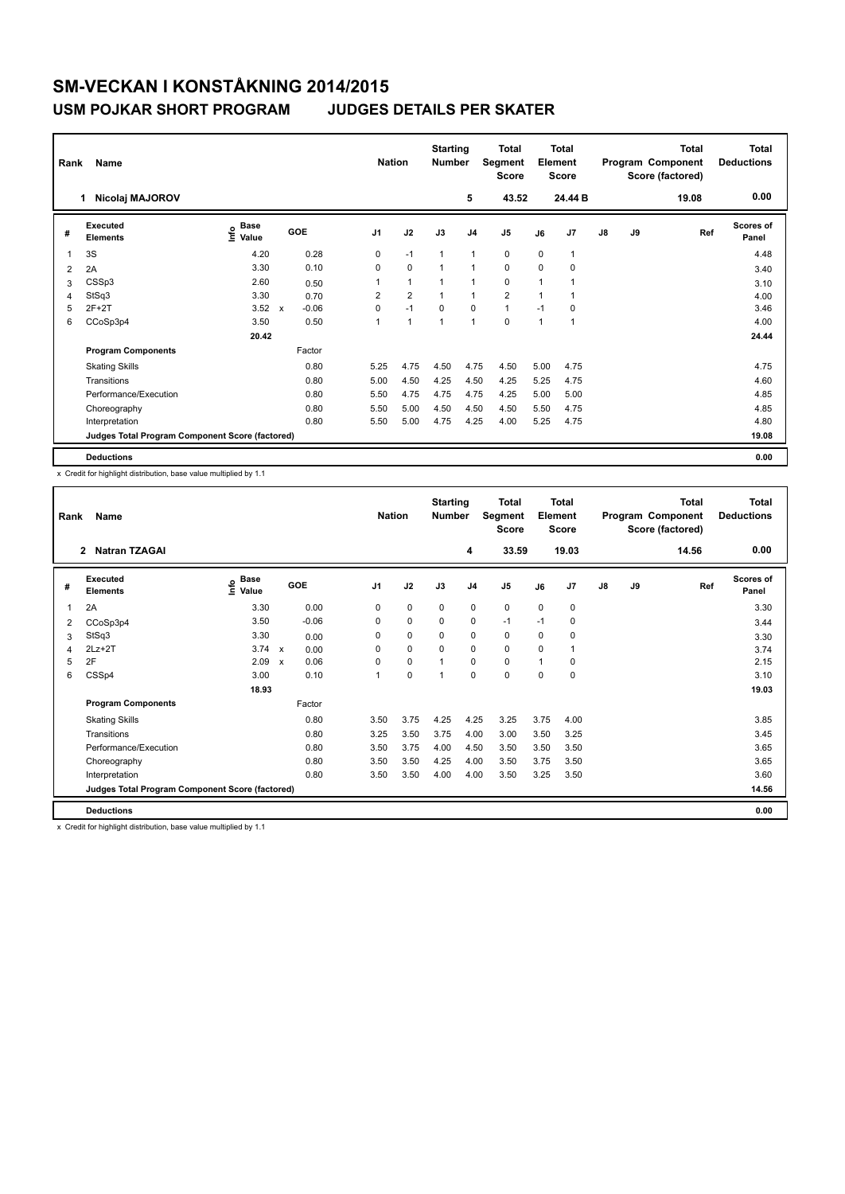# **SM-VECKAN I KONSTÅKNING 2014/2015**

### **USM POJKAR SHORT PROGRAM JUDGES DETAILS PER SKATER**

| Name<br>Rank   |                                                 |                              |             |            |                | <b>Nation</b>  |                | <b>Starting</b><br><b>Number</b> | Total<br>Segment<br><b>Score</b> | <b>Total</b><br>Element<br><b>Score</b> |                |               |    | Total<br>Program Component<br>Score (factored) | <b>Total</b><br><b>Deductions</b> |
|----------------|-------------------------------------------------|------------------------------|-------------|------------|----------------|----------------|----------------|----------------------------------|----------------------------------|-----------------------------------------|----------------|---------------|----|------------------------------------------------|-----------------------------------|
|                | Nicolaj MAJOROV<br>1.                           |                              |             |            |                |                |                | 5                                | 43.52                            |                                         | 24.44 B        |               |    | 19.08                                          | 0.00                              |
| #              | Executed<br><b>Elements</b>                     | <b>Base</b><br>lnfo<br>Value |             | <b>GOE</b> | J <sub>1</sub> | J2             | J3             | J <sub>4</sub>                   | J5                               | J6                                      | J <sub>7</sub> | $\mathsf{J}8$ | J9 | Ref                                            | <b>Scores of</b><br>Panel         |
| $\overline{1}$ | 3S                                              | 4.20                         |             | 0.28       | 0              | $-1$           | 1              | $\mathbf{1}$                     | 0                                | 0                                       | 1              |               |    |                                                | 4.48                              |
| 2              | 2A                                              | 3.30                         |             | 0.10       | 0              | $\mathbf 0$    |                | $\overline{1}$                   | $\mathbf 0$                      | $\Omega$                                | 0              |               |    |                                                | 3.40                              |
| 3              | CSSp3                                           | 2.60                         |             | 0.50       | 1              | $\mathbf{1}$   |                | 1                                | 0                                | 1                                       |                |               |    |                                                | 3.10                              |
| 4              | StSq3                                           | 3.30                         |             | 0.70       | $\overline{2}$ | $\overline{2}$ |                | $\mathbf{1}$                     | $\overline{2}$                   | 1                                       |                |               |    |                                                | 4.00                              |
| 5              | $2F+2T$                                         | 3.52                         | $\mathbf x$ | $-0.06$    | $\Omega$       | $-1$           | $\Omega$       | $\mathbf 0$                      | $\mathbf{1}$                     | $-1$                                    | 0              |               |    |                                                | 3.46                              |
| 6              | CCoSp3p4                                        | 3.50                         |             | 0.50       | 1              | $\overline{1}$ | $\overline{ }$ | $\overline{1}$                   | $\Omega$                         | $\overline{1}$                          |                |               |    |                                                | 4.00                              |
|                |                                                 | 20.42                        |             |            |                |                |                |                                  |                                  |                                         |                |               |    |                                                | 24.44                             |
|                | <b>Program Components</b>                       |                              |             | Factor     |                |                |                |                                  |                                  |                                         |                |               |    |                                                |                                   |
|                | <b>Skating Skills</b>                           |                              |             | 0.80       | 5.25           | 4.75           | 4.50           | 4.75                             | 4.50                             | 5.00                                    | 4.75           |               |    |                                                | 4.75                              |
|                | Transitions                                     |                              |             | 0.80       | 5.00           | 4.50           | 4.25           | 4.50                             | 4.25                             | 5.25                                    | 4.75           |               |    |                                                | 4.60                              |
|                | Performance/Execution                           |                              |             | 0.80       | 5.50           | 4.75           | 4.75           | 4.75                             | 4.25                             | 5.00                                    | 5.00           |               |    |                                                | 4.85                              |
|                | Choreography                                    |                              |             | 0.80       | 5.50           | 5.00           | 4.50           | 4.50                             | 4.50                             | 5.50                                    | 4.75           |               |    |                                                | 4.85                              |
|                | Interpretation                                  |                              |             | 0.80       | 5.50           | 5.00           | 4.75           | 4.25                             | 4.00                             | 5.25                                    | 4.75           |               |    |                                                | 4.80                              |
|                | Judges Total Program Component Score (factored) |                              |             |            |                |                |                |                                  |                                  |                                         |                |               |    |                                                | 19.08                             |
|                | <b>Deductions</b>                               |                              |             |            |                |                |                |                                  |                                  |                                         |                |               |    |                                                | 0.00                              |

x Credit for highlight distribution, base value multiplied by 1.1

| Rank | Name                                            |                              |                      |                | <b>Nation</b> |      | <b>Starting</b><br><b>Number</b> | <b>Total</b><br>Segment<br><b>Score</b> | Total<br>Element<br><b>Score</b> |                |               |       | <b>Total</b><br>Program Component<br>Score (factored) | Total<br><b>Deductions</b> |
|------|-------------------------------------------------|------------------------------|----------------------|----------------|---------------|------|----------------------------------|-----------------------------------------|----------------------------------|----------------|---------------|-------|-------------------------------------------------------|----------------------------|
|      | <b>Natran TZAGAI</b><br>$\mathbf{2}$            |                              |                      |                |               |      | 4                                | 33.59                                   |                                  | 19.03          |               |       | 14.56                                                 | 0.00                       |
| #    | Executed<br><b>Elements</b>                     | <b>Base</b><br>١nfo<br>Value | GOE                  | J <sub>1</sub> | J2            | J3   | J <sub>4</sub>                   | J <sub>5</sub>                          | J6                               | J <sub>7</sub> | $\mathsf{J}8$ | J9    | Ref                                                   | <b>Scores of</b><br>Panel  |
| 1    | 2A                                              | 3.30                         | 0.00                 | 0              | 0             | 0    | $\mathbf 0$                      | 0                                       | $\mathbf 0$                      | 0              |               |       |                                                       | 3.30                       |
| 2    | CCoSp3p4                                        | 3.50                         | $-0.06$              | 0              | 0             | 0    | 0                                | $-1$                                    | $-1$                             | 0              |               |       |                                                       | 3.44                       |
| 3    | StSq3                                           | 3.30                         | 0.00                 | 0              | 0             | 0    | 0                                | 0                                       | 0                                | 0              |               |       |                                                       | 3.30                       |
| 4    | $2Lz+2T$                                        | $3.74 \times$                | 0.00                 | 0              | 0             | 0    | 0                                | 0                                       | 0                                | $\mathbf 1$    |               |       |                                                       | 3.74                       |
| 5    | 2F                                              | 2.09                         | 0.06<br>$\mathbf{x}$ | $\Omega$       | 0             | 1    | 0                                | 0                                       | $\overline{1}$                   | 0              |               |       |                                                       | 2.15                       |
| 6    | CSSp4                                           | 3.00                         | 0.10                 | 1              | 0             | 1    | 0                                | 0                                       | 0                                | 0              |               |       |                                                       | 3.10                       |
|      |                                                 |                              |                      |                |               |      |                                  |                                         |                                  |                |               | 19.03 |                                                       |                            |
|      | <b>Program Components</b>                       |                              | Factor               |                |               |      |                                  |                                         |                                  |                |               |       |                                                       |                            |
|      | <b>Skating Skills</b>                           |                              | 0.80                 | 3.50           | 3.75          | 4.25 | 4.25                             | 3.25                                    | 3.75                             | 4.00           |               |       |                                                       | 3.85                       |
|      | Transitions                                     |                              | 0.80                 | 3.25           | 3.50          | 3.75 | 4.00                             | 3.00                                    | 3.50                             | 3.25           |               |       |                                                       | 3.45                       |
|      | Performance/Execution                           |                              | 0.80                 | 3.50           | 3.75          | 4.00 | 4.50                             | 3.50                                    | 3.50                             | 3.50           |               |       |                                                       | 3.65                       |
|      | Choreography                                    |                              | 0.80                 | 3.50           | 3.50          | 4.25 | 4.00                             | 3.50                                    | 3.75                             | 3.50           |               |       |                                                       | 3.65                       |
|      | Interpretation                                  |                              | 0.80                 | 3.50           | 3.50          | 4.00 | 4.00                             | 3.50                                    | 3.25                             | 3.50           |               |       |                                                       | 3.60                       |
|      | Judges Total Program Component Score (factored) |                              |                      |                |               |      |                                  |                                         |                                  |                |               |       |                                                       | 14.56                      |
|      | <b>Deductions</b>                               |                              |                      |                |               |      |                                  |                                         |                                  |                |               |       |                                                       | 0.00                       |

x Credit for highlight distribution, base value multiplied by 1.1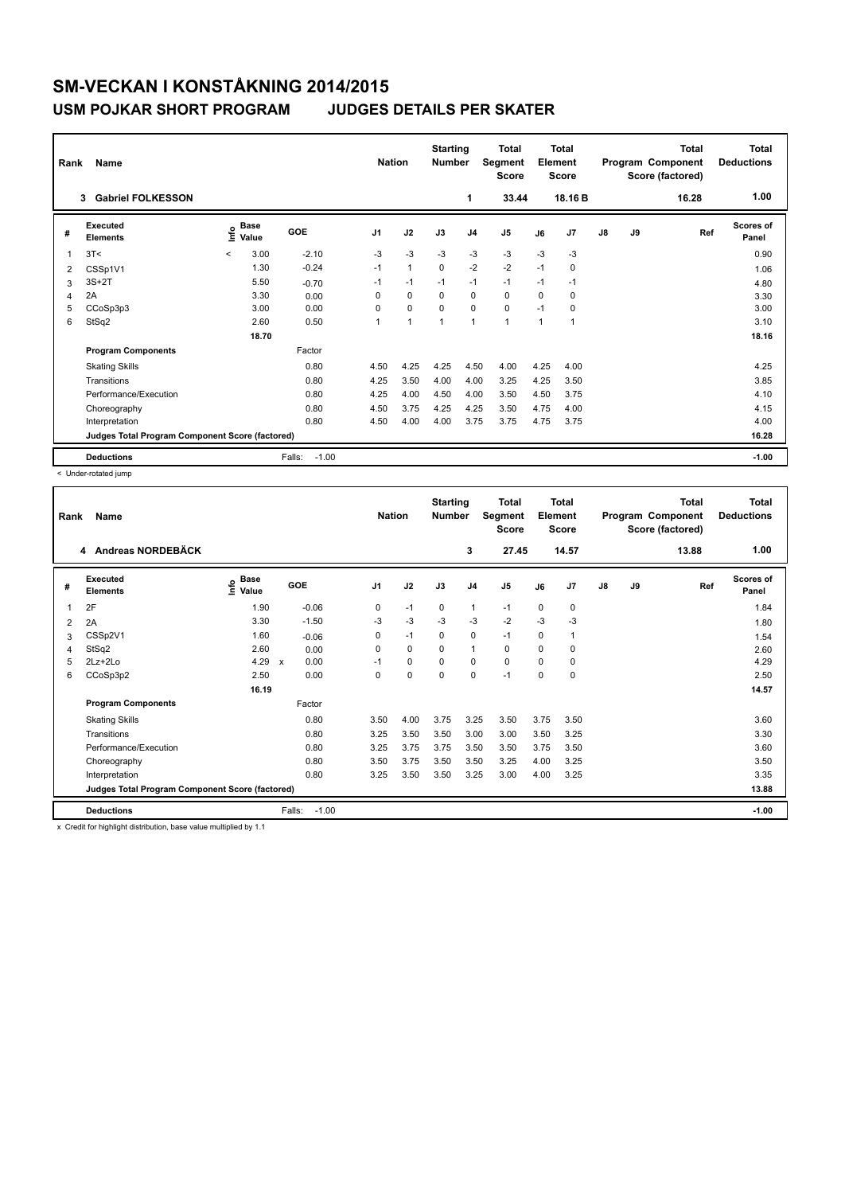# **SM-VECKAN I KONSTÅKNING 2014/2015**

## **USM POJKAR SHORT PROGRAM JUDGES DETAILS PER SKATER**

| Rank | Name<br><b>Gabriel FOLKESSON</b><br>3           |         |                      |                   | <b>Nation</b>  |              | <b>Starting</b><br><b>Number</b><br>1 |                | <b>Total</b><br>Segment<br><b>Score</b><br>33.44 | Total<br>Element<br><b>Score</b><br>18.16 B |                |               |    | <b>Total</b><br>Program Component<br>Score (factored)<br>16.28 | <b>Total</b><br><b>Deductions</b><br>1.00 |
|------|-------------------------------------------------|---------|----------------------|-------------------|----------------|--------------|---------------------------------------|----------------|--------------------------------------------------|---------------------------------------------|----------------|---------------|----|----------------------------------------------------------------|-------------------------------------------|
| #    | Executed<br><b>Elements</b>                     | Linfo   | <b>Base</b><br>Value | GOE               | J <sub>1</sub> | J2           | J3                                    | J <sub>4</sub> | J <sub>5</sub>                                   | J6                                          | J <sub>7</sub> | $\mathsf{J}8$ | J9 | Ref                                                            | <b>Scores of</b><br>Panel                 |
| 1    | 3T<                                             | $\prec$ | 3.00                 | $-2.10$           | -3             | $-3$         | $-3$                                  | $-3$           | $-3$                                             | $-3$                                        | $-3$           |               |    |                                                                | 0.90                                      |
| 2    | CSSp1V1                                         |         | 1.30                 | $-0.24$           | $-1$           | $\mathbf{1}$ | $\Omega$                              | $-2$           | $-2$                                             | $-1$                                        | 0              |               |    |                                                                | 1.06                                      |
| 3    | $3S+2T$                                         |         | 5.50                 | $-0.70$           | $-1$           | $-1$         | $-1$                                  | $-1$           | $-1$                                             | $-1$                                        | $-1$           |               |    |                                                                | 4.80                                      |
| 4    | 2A                                              |         | 3.30                 | 0.00              | 0              | 0            | $\Omega$                              | 0              | $\Omega$                                         | $\Omega$                                    | 0              |               |    |                                                                | 3.30                                      |
| 5    | CCoSp3p3                                        |         | 3.00                 | 0.00              | 0              | $\mathbf 0$  | $\mathbf 0$                           | $\mathbf 0$    | $\mathbf 0$                                      | $-1$                                        | 0              |               |    |                                                                | 3.00                                      |
| 6    | StSq2                                           |         | 2.60                 | 0.50              |                | 1            | 1                                     | $\mathbf{1}$   | 1                                                | 1                                           | $\overline{1}$ |               |    |                                                                | 3.10                                      |
|      |                                                 |         | 18.70                |                   |                |              |                                       |                |                                                  |                                             |                |               |    |                                                                | 18.16                                     |
|      | <b>Program Components</b>                       |         |                      | Factor            |                |              |                                       |                |                                                  |                                             |                |               |    |                                                                |                                           |
|      | <b>Skating Skills</b>                           |         |                      | 0.80              | 4.50           | 4.25         | 4.25                                  | 4.50           | 4.00                                             | 4.25                                        | 4.00           |               |    |                                                                | 4.25                                      |
|      | Transitions                                     |         |                      | 0.80              | 4.25           | 3.50         | 4.00                                  | 4.00           | 3.25                                             | 4.25                                        | 3.50           |               |    |                                                                | 3.85                                      |
|      | Performance/Execution                           |         |                      | 0.80              | 4.25           | 4.00         | 4.50                                  | 4.00           | 3.50                                             | 4.50                                        | 3.75           |               |    |                                                                | 4.10                                      |
|      | Choreography                                    |         |                      | 0.80              | 4.50           | 3.75         | 4.25                                  | 4.25           | 3.50                                             | 4.75                                        | 4.00           |               |    |                                                                | 4.15                                      |
|      | Interpretation                                  |         |                      | 0.80              | 4.50           | 4.00         | 4.00                                  | 3.75           | 3.75                                             | 4.75                                        | 3.75           |               |    |                                                                | 4.00                                      |
|      | Judges Total Program Component Score (factored) |         |                      |                   |                |              |                                       |                |                                                  |                                             |                | 16.28         |    |                                                                |                                           |
|      | <b>Deductions</b>                               |         |                      | Falls:<br>$-1.00$ |                |              |                                       |                |                                                  |                                             |                |               |    |                                                                | $-1.00$                                   |

< Under-rotated jump

| Rank | Name                                            |                              |                      |                | <b>Nation</b> |          | <b>Starting</b><br><b>Number</b> | <b>Total</b><br>Segment<br><b>Score</b> | Total<br>Element<br><b>Score</b> |       | Program Component |       | Total<br>Score (factored) | <b>Total</b><br><b>Deductions</b> |
|------|-------------------------------------------------|------------------------------|----------------------|----------------|---------------|----------|----------------------------------|-----------------------------------------|----------------------------------|-------|-------------------|-------|---------------------------|-----------------------------------|
|      | 4 Andreas NORDEBÄCK                             |                              |                      |                |               |          | 3                                | 27.45                                   |                                  | 14.57 |                   |       | 13.88                     | 1.00                              |
| #    | Executed<br><b>Elements</b>                     | <b>Base</b><br>١nfo<br>Value | GOE                  | J <sub>1</sub> | J2            | J3       | J <sub>4</sub>                   | J <sub>5</sub>                          | J6                               | J7    | J8                | J9    | Ref                       | <b>Scores of</b><br>Panel         |
| 1    | 2F                                              | 1.90                         | $-0.06$              | 0              | $-1$          | 0        | 1                                | $-1$                                    | 0                                | 0     |                   |       |                           | 1.84                              |
| 2    | 2A                                              | 3.30                         | $-1.50$              | $-3$           | $-3$          | $-3$     | $-3$                             | $-2$                                    | $-3$                             | $-3$  |                   |       |                           | 1.80                              |
| 3    | CSSp2V1                                         | 1.60                         | $-0.06$              | 0              | $-1$          | 0        | $\mathbf 0$                      | $-1$                                    | 0                                | 1     |                   |       |                           | 1.54                              |
| 4    | StSq2                                           | 2.60                         | 0.00                 | 0              | 0             | 0        | $\mathbf{1}$                     | 0                                       | 0                                | 0     |                   |       |                           | 2.60                              |
| 5    | 2Lz+2Lo                                         | 4.29                         | 0.00<br>$\mathsf{x}$ | $-1$           | 0             | $\Omega$ | 0                                | 0                                       | 0                                | 0     |                   |       |                           | 4.29                              |
| 6    | CCoSp3p2                                        | 2.50                         | 0.00                 | 0              | $\mathbf 0$   | 0        | 0                                | $-1$                                    | 0                                | 0     |                   |       |                           | 2.50                              |
|      |                                                 |                              |                      |                |               |          |                                  |                                         |                                  |       |                   | 14.57 |                           |                                   |
|      | <b>Program Components</b>                       |                              | Factor               |                |               |          |                                  |                                         |                                  |       |                   |       |                           |                                   |
|      | <b>Skating Skills</b>                           |                              | 0.80                 | 3.50           | 4.00          | 3.75     | 3.25                             | 3.50                                    | 3.75                             | 3.50  |                   |       |                           | 3.60                              |
|      | Transitions                                     |                              | 0.80                 | 3.25           | 3.50          | 3.50     | 3.00                             | 3.00                                    | 3.50                             | 3.25  |                   |       |                           | 3.30                              |
|      | Performance/Execution                           |                              | 0.80                 | 3.25           | 3.75          | 3.75     | 3.50                             | 3.50                                    | 3.75                             | 3.50  |                   |       |                           | 3.60                              |
|      | Choreography                                    |                              | 0.80                 | 3.50           | 3.75          | 3.50     | 3.50                             | 3.25                                    | 4.00                             | 3.25  |                   |       |                           | 3.50                              |
|      | Interpretation                                  |                              | 0.80                 | 3.25           | 3.50          | 3.50     | 3.25                             | 3.00                                    | 4.00                             | 3.25  |                   |       |                           | 3.35                              |
|      | Judges Total Program Component Score (factored) |                              |                      |                |               |          |                                  |                                         |                                  |       |                   |       |                           | 13.88                             |
|      | <b>Deductions</b>                               |                              | $-1.00$<br>Falls:    |                |               |          |                                  |                                         |                                  |       |                   |       |                           | $-1.00$                           |

x Credit for highlight distribution, base value multiplied by 1.1